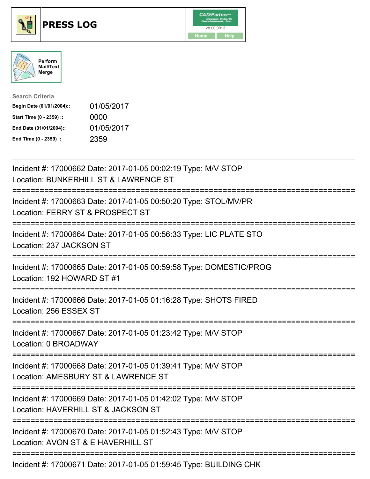





| <b>Search Criteria</b>    |            |
|---------------------------|------------|
| Begin Date (01/01/2004):: | 01/05/2017 |
| Start Time (0 - 2359) ::  | 0000       |
| End Date (01/01/2004)::   | 01/05/2017 |
| End Time (0 - 2359) ::    | 2359       |

| Incident #: 17000662 Date: 2017-01-05 00:02:19 Type: M/V STOP<br>Location: BUNKERHILL ST & LAWRENCE ST                                  |
|-----------------------------------------------------------------------------------------------------------------------------------------|
| Incident #: 17000663 Date: 2017-01-05 00:50:20 Type: STOL/MV/PR<br>Location: FERRY ST & PROSPECT ST                                     |
| Incident #: 17000664 Date: 2017-01-05 00:56:33 Type: LIC PLATE STO<br>Location: 237 JACKSON ST                                          |
| Incident #: 17000665 Date: 2017-01-05 00:59:58 Type: DOMESTIC/PROG<br>Location: 192 HOWARD ST #1                                        |
| Incident #: 17000666 Date: 2017-01-05 01:16:28 Type: SHOTS FIRED<br>Location: 256 ESSEX ST                                              |
| Incident #: 17000667 Date: 2017-01-05 01:23:42 Type: M/V STOP<br>Location: 0 BROADWAY                                                   |
| Incident #: 17000668 Date: 2017-01-05 01:39:41 Type: M/V STOP<br>Location: AMESBURY ST & LAWRENCE ST                                    |
| Incident #: 17000669 Date: 2017-01-05 01:42:02 Type: M/V STOP<br>Location: HAVERHILL ST & JACKSON ST<br>;============================== |
| Incident #: 17000670 Date: 2017-01-05 01:52:43 Type: M/V STOP<br>Location: AVON ST & E HAVERHILL ST                                     |
| Incident #: 17000671 Date: 2017-01-05 01:59:45 Type: BUILDING CHK                                                                       |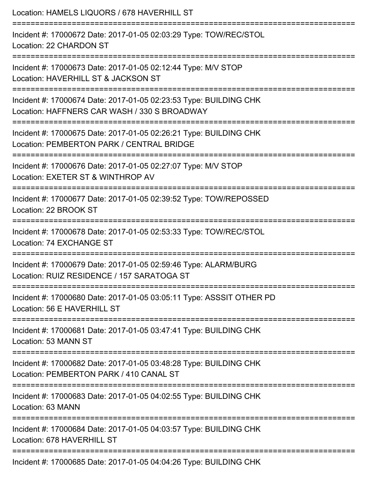| Location: HAMELS LIQUORS / 678 HAVERHILL ST                                                                                                                                                  |
|----------------------------------------------------------------------------------------------------------------------------------------------------------------------------------------------|
| Incident #: 17000672 Date: 2017-01-05 02:03:29 Type: TOW/REC/STOL<br>Location: 22 CHARDON ST<br>====================================                                                         |
| Incident #: 17000673 Date: 2017-01-05 02:12:44 Type: M/V STOP<br>Location: HAVERHILL ST & JACKSON ST                                                                                         |
| Incident #: 17000674 Date: 2017-01-05 02:23:53 Type: BUILDING CHK<br>Location: HAFFNERS CAR WASH / 330 S BROADWAY<br>=================================<br>---------------------------------- |
| Incident #: 17000675 Date: 2017-01-05 02:26:21 Type: BUILDING CHK<br>Location: PEMBERTON PARK / CENTRAL BRIDGE                                                                               |
| Incident #: 17000676 Date: 2017-01-05 02:27:07 Type: M/V STOP<br>Location: EXETER ST & WINTHROP AV                                                                                           |
| Incident #: 17000677 Date: 2017-01-05 02:39:52 Type: TOW/REPOSSED<br>Location: 22 BROOK ST                                                                                                   |
| Incident #: 17000678 Date: 2017-01-05 02:53:33 Type: TOW/REC/STOL<br>Location: 74 EXCHANGE ST                                                                                                |
| Incident #: 17000679 Date: 2017-01-05 02:59:46 Type: ALARM/BURG<br>Location: RUIZ RESIDENCE / 157 SARATOGA ST                                                                                |
| Incident #: 17000680 Date: 2017-01-05 03:05:11 Type: ASSSIT OTHER PD<br>Location: 56 E HAVERHILL ST                                                                                          |
| Incident #: 17000681 Date: 2017-01-05 03:47:41 Type: BUILDING CHK<br>Location: 53 MANN ST                                                                                                    |
| Incident #: 17000682 Date: 2017-01-05 03:48:28 Type: BUILDING CHK<br>Location: PEMBERTON PARK / 410 CANAL ST                                                                                 |
| Incident #: 17000683 Date: 2017-01-05 04:02:55 Type: BUILDING CHK<br>Location: 63 MANN                                                                                                       |
| Incident #: 17000684 Date: 2017-01-05 04:03:57 Type: BUILDING CHK<br>Location: 678 HAVERHILL ST                                                                                              |
| Incident #: 17000685 Date: 2017-01-05 04:04:26 Type: BUILDING CHK                                                                                                                            |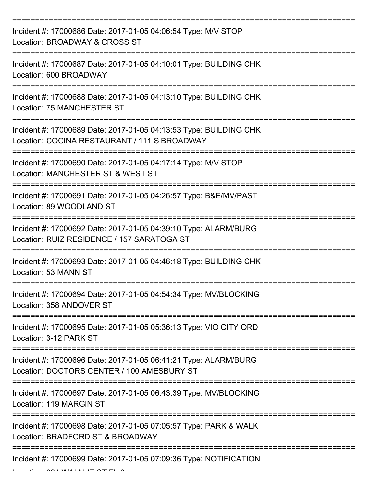| Incident #: 17000686 Date: 2017-01-05 04:06:54 Type: M/V STOP<br>Location: BROADWAY & CROSS ST                    |
|-------------------------------------------------------------------------------------------------------------------|
| Incident #: 17000687 Date: 2017-01-05 04:10:01 Type: BUILDING CHK<br>Location: 600 BROADWAY                       |
| Incident #: 17000688 Date: 2017-01-05 04:13:10 Type: BUILDING CHK<br><b>Location: 75 MANCHESTER ST</b>            |
| Incident #: 17000689 Date: 2017-01-05 04:13:53 Type: BUILDING CHK<br>Location: COCINA RESTAURANT / 111 S BROADWAY |
| Incident #: 17000690 Date: 2017-01-05 04:17:14 Type: M/V STOP<br>Location: MANCHESTER ST & WEST ST                |
| Incident #: 17000691 Date: 2017-01-05 04:26:57 Type: B&E/MV/PAST<br>Location: 89 WOODLAND ST                      |
| Incident #: 17000692 Date: 2017-01-05 04:39:10 Type: ALARM/BURG<br>Location: RUIZ RESIDENCE / 157 SARATOGA ST     |
| Incident #: 17000693 Date: 2017-01-05 04:46:18 Type: BUILDING CHK<br>Location: 53 MANN ST                         |
| Incident #: 17000694 Date: 2017-01-05 04:54:34 Type: MV/BLOCKING<br>Location: 358 ANDOVER ST                      |
| Incident #: 17000695 Date: 2017-01-05 05:36:13 Type: VIO CITY ORD<br>Location: 3-12 PARK ST                       |
| Incident #: 17000696 Date: 2017-01-05 06:41:21 Type: ALARM/BURG<br>Location: DOCTORS CENTER / 100 AMESBURY ST     |
| Incident #: 17000697 Date: 2017-01-05 06:43:39 Type: MV/BLOCKING<br>Location: 119 MARGIN ST                       |
| Incident #: 17000698 Date: 2017-01-05 07:05:57 Type: PARK & WALK<br>Location: BRADFORD ST & BROADWAY              |
| Incident #: 17000699 Date: 2017-01-05 07:09:36 Type: NOTIFICATION                                                 |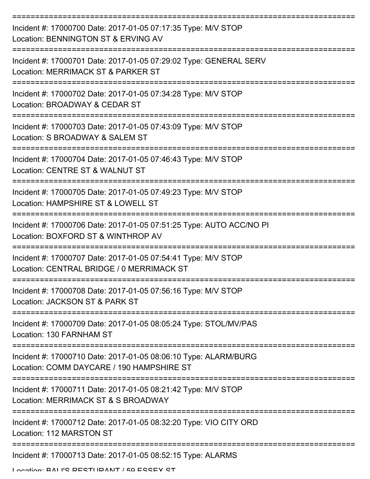| Incident #: 17000700 Date: 2017-01-05 07:17:35 Type: M/V STOP<br>Location: BENNINGTON ST & ERVING AV         |
|--------------------------------------------------------------------------------------------------------------|
| Incident #: 17000701 Date: 2017-01-05 07:29:02 Type: GENERAL SERV<br>Location: MERRIMACK ST & PARKER ST      |
| Incident #: 17000702 Date: 2017-01-05 07:34:28 Type: M/V STOP<br>Location: BROADWAY & CEDAR ST               |
| Incident #: 17000703 Date: 2017-01-05 07:43:09 Type: M/V STOP<br>Location: S BROADWAY & SALEM ST             |
| Incident #: 17000704 Date: 2017-01-05 07:46:43 Type: M/V STOP<br>Location: CENTRE ST & WALNUT ST             |
| Incident #: 17000705 Date: 2017-01-05 07:49:23 Type: M/V STOP<br>Location: HAMPSHIRE ST & LOWELL ST          |
| Incident #: 17000706 Date: 2017-01-05 07:51:25 Type: AUTO ACC/NO PI<br>Location: BOXFORD ST & WINTHROP AV    |
| Incident #: 17000707 Date: 2017-01-05 07:54:41 Type: M/V STOP<br>Location: CENTRAL BRIDGE / 0 MERRIMACK ST   |
| Incident #: 17000708 Date: 2017-01-05 07:56:16 Type: M/V STOP<br>Location: JACKSON ST & PARK ST              |
| Incident #: 17000709 Date: 2017-01-05 08:05:24 Type: STOL/MV/PAS<br>Location: 130 FARNHAM ST                 |
| Incident #: 17000710 Date: 2017-01-05 08:06:10 Type: ALARM/BURG<br>Location: COMM DAYCARE / 190 HAMPSHIRE ST |
| Incident #: 17000711 Date: 2017-01-05 08:21:42 Type: M/V STOP<br>Location: MERRIMACK ST & S BROADWAY         |
| Incident #: 17000712 Date: 2017-01-05 08:32:20 Type: VIO CITY ORD<br>Location: 112 MARSTON ST                |
| Incident #: 17000713 Date: 2017-01-05 08:52:15 Type: ALARMS                                                  |

Location: BALI'S BESTURANT / 50 ESSEY ST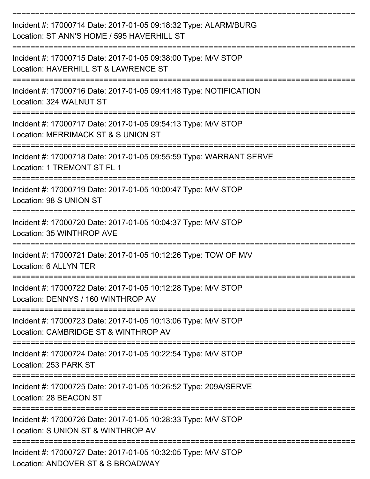| Incident #: 17000714 Date: 2017-01-05 09:18:32 Type: ALARM/BURG<br>Location: ST ANN'S HOME / 595 HAVERHILL ST |
|---------------------------------------------------------------------------------------------------------------|
| Incident #: 17000715 Date: 2017-01-05 09:38:00 Type: M/V STOP<br>Location: HAVERHILL ST & LAWRENCE ST         |
| Incident #: 17000716 Date: 2017-01-05 09:41:48 Type: NOTIFICATION<br>Location: 324 WALNUT ST                  |
| Incident #: 17000717 Date: 2017-01-05 09:54:13 Type: M/V STOP<br>Location: MERRIMACK ST & S UNION ST          |
| Incident #: 17000718 Date: 2017-01-05 09:55:59 Type: WARRANT SERVE<br>Location: 1 TREMONT ST FL 1             |
| Incident #: 17000719 Date: 2017-01-05 10:00:47 Type: M/V STOP<br>Location: 98 S UNION ST                      |
| Incident #: 17000720 Date: 2017-01-05 10:04:37 Type: M/V STOP<br>Location: 35 WINTHROP AVE                    |
| Incident #: 17000721 Date: 2017-01-05 10:12:26 Type: TOW OF M/V<br>Location: 6 ALLYN TER                      |
| Incident #: 17000722 Date: 2017-01-05 10:12:28 Type: M/V STOP<br>Location: DENNYS / 160 WINTHROP AV           |
| Incident #: 17000723 Date: 2017-01-05 10:13:06 Type: M/V STOP<br>Location: CAMBRIDGE ST & WINTHROP AV         |
| Incident #: 17000724 Date: 2017-01-05 10:22:54 Type: M/V STOP<br>Location: 253 PARK ST                        |
| Incident #: 17000725 Date: 2017-01-05 10:26:52 Type: 209A/SERVE<br>Location: 28 BEACON ST                     |
| Incident #: 17000726 Date: 2017-01-05 10:28:33 Type: M/V STOP<br>Location: S UNION ST & WINTHROP AV           |
| Incident #: 17000727 Date: 2017-01-05 10:32:05 Type: M/V STOP<br>Location: ANDOVER ST & S BROADWAY            |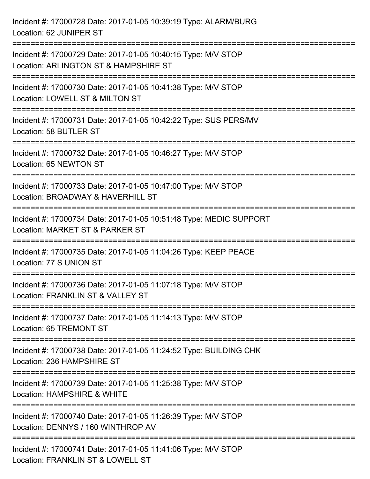| Incident #: 17000728 Date: 2017-01-05 10:39:19 Type: ALARM/BURG<br>Location: 62 JUNIPER ST                                                  |
|---------------------------------------------------------------------------------------------------------------------------------------------|
| =================================<br>Incident #: 17000729 Date: 2017-01-05 10:40:15 Type: M/V STOP<br>Location: ARLINGTON ST & HAMPSHIRE ST |
| Incident #: 17000730 Date: 2017-01-05 10:41:38 Type: M/V STOP<br>Location: LOWELL ST & MILTON ST<br>==============================          |
| Incident #: 17000731 Date: 2017-01-05 10:42:22 Type: SUS PERS/MV<br>Location: 58 BUTLER ST<br>======================================        |
| Incident #: 17000732 Date: 2017-01-05 10:46:27 Type: M/V STOP<br>Location: 65 NEWTON ST                                                     |
| Incident #: 17000733 Date: 2017-01-05 10:47:00 Type: M/V STOP<br>Location: BROADWAY & HAVERHILL ST                                          |
| :========================<br>Incident #: 17000734 Date: 2017-01-05 10:51:48 Type: MEDIC SUPPORT<br>Location: MARKET ST & PARKER ST          |
| Incident #: 17000735 Date: 2017-01-05 11:04:26 Type: KEEP PEACE<br>Location: 77 S UNION ST                                                  |
| Incident #: 17000736 Date: 2017-01-05 11:07:18 Type: M/V STOP<br>Location: FRANKLIN ST & VALLEY ST                                          |
| Incident #: 17000737 Date: 2017-01-05 11:14:13 Type: M/V STOP<br>Location: 65 TREMONT ST                                                    |
| Incident #: 17000738 Date: 2017-01-05 11:24:52 Type: BUILDING CHK<br>Location: 236 HAMPSHIRE ST                                             |
| Incident #: 17000739 Date: 2017-01-05 11:25:38 Type: M/V STOP<br>Location: HAMPSHIRE & WHITE                                                |
| Incident #: 17000740 Date: 2017-01-05 11:26:39 Type: M/V STOP<br>Location: DENNYS / 160 WINTHROP AV                                         |
| Incident #: 17000741 Date: 2017-01-05 11:41:06 Type: M/V STOP<br>Location: FRANKLIN ST & LOWELL ST                                          |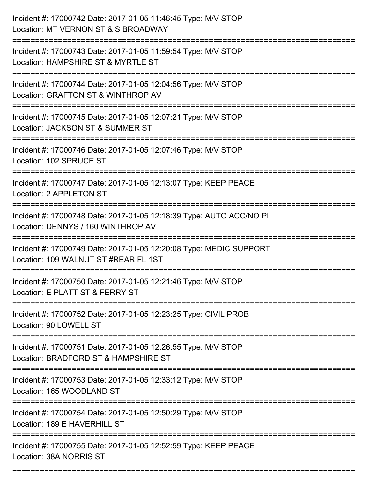| Incident #: 17000742 Date: 2017-01-05 11:46:45 Type: M/V STOP<br>Location: MT VERNON ST & S BROADWAY                            |
|---------------------------------------------------------------------------------------------------------------------------------|
| ====================<br>Incident #: 17000743 Date: 2017-01-05 11:59:54 Type: M/V STOP<br>Location: HAMPSHIRE ST & MYRTLE ST     |
| Incident #: 17000744 Date: 2017-01-05 12:04:56 Type: M/V STOP<br>Location: GRAFTON ST & WINTHROP AV<br>;======================  |
| Incident #: 17000745 Date: 2017-01-05 12:07:21 Type: M/V STOP<br>Location: JACKSON ST & SUMMER ST                               |
| Incident #: 17000746 Date: 2017-01-05 12:07:46 Type: M/V STOP<br>Location: 102 SPRUCE ST                                        |
| Incident #: 17000747 Date: 2017-01-05 12:13:07 Type: KEEP PEACE<br>Location: 2 APPLETON ST                                      |
| Incident #: 17000748 Date: 2017-01-05 12:18:39 Type: AUTO ACC/NO PI<br>Location: DENNYS / 160 WINTHROP AV<br>================== |
| Incident #: 17000749 Date: 2017-01-05 12:20:08 Type: MEDIC SUPPORT<br>Location: 109 WALNUT ST #REAR FL 1ST                      |
| Incident #: 17000750 Date: 2017-01-05 12:21:46 Type: M/V STOP<br>Location: E PLATT ST & FERRY ST                                |
| Incident #: 17000752 Date: 2017-01-05 12:23:25 Type: CIVIL PROB<br>Location: 90 LOWELL ST                                       |
| Incident #: 17000751 Date: 2017-01-05 12:26:55 Type: M/V STOP<br>Location: BRADFORD ST & HAMPSHIRE ST                           |
| Incident #: 17000753 Date: 2017-01-05 12:33:12 Type: M/V STOP<br>Location: 165 WOODLAND ST                                      |
| Incident #: 17000754 Date: 2017-01-05 12:50:29 Type: M/V STOP<br>Location: 189 E HAVERHILL ST                                   |
| Incident #: 17000755 Date: 2017-01-05 12:52:59 Type: KEEP PEACE<br>Location: 38A NORRIS ST                                      |

===========================================================================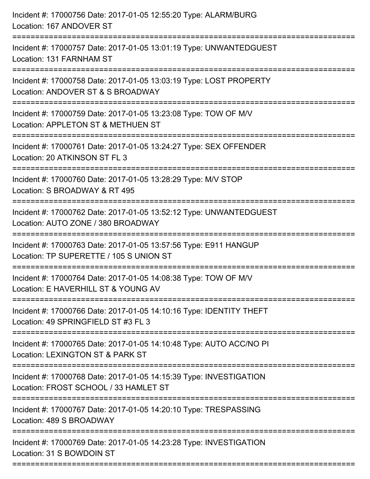| Incident #: 17000757 Date: 2017-01-05 13:01:19 Type: UNWANTEDGUEST<br>Location: 131 FARNHAM ST                                           |
|------------------------------------------------------------------------------------------------------------------------------------------|
| Incident #: 17000758 Date: 2017-01-05 13:03:19 Type: LOST PROPERTY<br>Location: ANDOVER ST & S BROADWAY<br>============================= |
| Incident #: 17000759 Date: 2017-01-05 13:23:08 Type: TOW OF M/V<br>Location: APPLETON ST & METHUEN ST                                    |
| Incident #: 17000761 Date: 2017-01-05 13:24:27 Type: SEX OFFENDER<br>Location: 20 ATKINSON ST FL 3                                       |
| Incident #: 17000760 Date: 2017-01-05 13:28:29 Type: M/V STOP<br>Location: S BROADWAY & RT 495                                           |
| Incident #: 17000762 Date: 2017-01-05 13:52:12 Type: UNWANTEDGUEST<br>Location: AUTO ZONE / 380 BROADWAY                                 |
| Incident #: 17000763 Date: 2017-01-05 13:57:56 Type: E911 HANGUP<br>Location: TP SUPERETTE / 105 S UNION ST                              |
| Incident #: 17000764 Date: 2017-01-05 14:08:38 Type: TOW OF M/V<br>Location: E HAVERHILL ST & YOUNG AV                                   |
| Incident #: 17000766 Date: 2017-01-05 14:10:16 Type: IDENTITY THEFT<br>Location: 49 SPRINGFIELD ST #3 FL 3                               |
| Incident #: 17000765 Date: 2017-01-05 14:10:48 Type: AUTO ACC/NO PI<br>Location: LEXINGTON ST & PARK ST                                  |
| Incident #: 17000768 Date: 2017-01-05 14:15:39 Type: INVESTIGATION<br>Location: FROST SCHOOL / 33 HAMLET ST                              |
| Incident #: 17000767 Date: 2017-01-05 14:20:10 Type: TRESPASSING<br>Location: 489 S BROADWAY                                             |
| Incident #: 17000769 Date: 2017-01-05 14:23:28 Type: INVESTIGATION<br>Location: 31 S BOWDOIN ST                                          |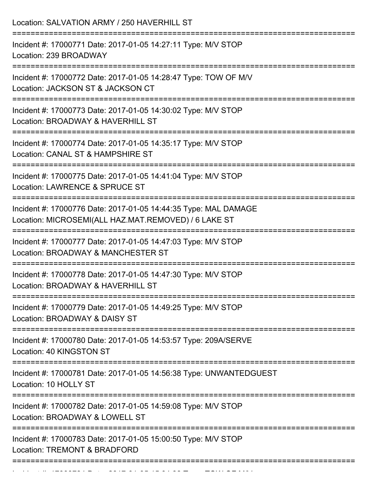| Location: SALVATION ARMY / 250 HAVERHILL ST                                                                                                                      |
|------------------------------------------------------------------------------------------------------------------------------------------------------------------|
| Incident #: 17000771 Date: 2017-01-05 14:27:11 Type: M/V STOP<br>Location: 239 BROADWAY<br>==============================                                        |
| Incident #: 17000772 Date: 2017-01-05 14:28:47 Type: TOW OF M/V<br>Location: JACKSON ST & JACKSON CT                                                             |
| Incident #: 17000773 Date: 2017-01-05 14:30:02 Type: M/V STOP<br>Location: BROADWAY & HAVERHILL ST<br>;===============================<br>====================== |
| Incident #: 17000774 Date: 2017-01-05 14:35:17 Type: M/V STOP<br>Location: CANAL ST & HAMPSHIRE ST                                                               |
| Incident #: 17000775 Date: 2017-01-05 14:41:04 Type: M/V STOP<br>Location: LAWRENCE & SPRUCE ST                                                                  |
| Incident #: 17000776 Date: 2017-01-05 14:44:35 Type: MAL DAMAGE<br>Location: MICROSEMI(ALL HAZ.MAT.REMOVED) / 6 LAKE ST<br>==============================        |
| Incident #: 17000777 Date: 2017-01-05 14:47:03 Type: M/V STOP<br>Location: BROADWAY & MANCHESTER ST                                                              |
| Incident #: 17000778 Date: 2017-01-05 14:47:30 Type: M/V STOP<br>Location: BROADWAY & HAVERHILL ST                                                               |
| Incident #: 17000779 Date: 2017-01-05 14:49:25 Type: M/V STOP<br>Location: BROADWAY & DAISY ST                                                                   |
| Incident #: 17000780 Date: 2017-01-05 14:53:57 Type: 209A/SERVE<br>Location: 40 KINGSTON ST                                                                      |
| Incident #: 17000781 Date: 2017-01-05 14:56:38 Type: UNWANTEDGUEST<br>Location: 10 HOLLY ST                                                                      |
| =================<br>Incident #: 17000782 Date: 2017-01-05 14:59:08 Type: M/V STOP<br>Location: BROADWAY & LOWELL ST                                             |
| Incident #: 17000783 Date: 2017-01-05 15:00:50 Type: M/V STOP<br>Location: TREMONT & BRADFORD                                                                    |

Incident #: 17000784 Date: 2017 01 05 15:04:38 Type: TOW OF M/V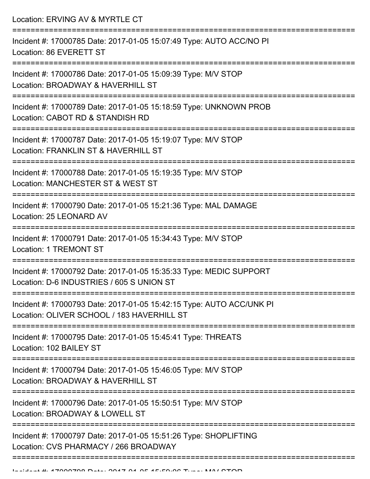Location: ERVING AV & MYRTLE CT =========================================================================== Incident #: 17000785 Date: 2017-01-05 15:07:49 Type: AUTO ACC/NO PI Location: 86 EVERETT ST =========================================================================== Incident #: 17000786 Date: 2017-01-05 15:09:39 Type: M/V STOP Location: BROADWAY & HAVERHILL ST =========================================================================== Incident #: 17000789 Date: 2017-01-05 15:18:59 Type: UNKNOWN PROB Location: CABOT RD & STANDISH RD =========================================================================== Incident #: 17000787 Date: 2017-01-05 15:19:07 Type: M/V STOP Location: FRANKLIN ST & HAVERHILL ST =========================================================================== Incident #: 17000788 Date: 2017-01-05 15:19:35 Type: M/V STOP Location: MANCHESTER ST & WEST ST =========================================================================== Incident #: 17000790 Date: 2017-01-05 15:21:36 Type: MAL DAMAGE Location: 25 LEONARD AV =========================================================================== Incident #: 17000791 Date: 2017-01-05 15:34:43 Type: M/V STOP Location: 1 TREMONT ST =========================================================================== Incident #: 17000792 Date: 2017-01-05 15:35:33 Type: MEDIC SUPPORT Location: D-6 INDUSTRIES / 605 S UNION ST =========================================================================== Incident #: 17000793 Date: 2017-01-05 15:42:15 Type: AUTO ACC/UNK PI Location: OLIVER SCHOOL / 183 HAVERHILL ST =========================================================================== Incident #: 17000795 Date: 2017-01-05 15:45:41 Type: THREATS Location: 102 BAILEY ST =========================================================================== Incident #: 17000794 Date: 2017-01-05 15:46:05 Type: M/V STOP Location: BROADWAY & HAVERHILL ST =========================================================================== Incident #: 17000796 Date: 2017-01-05 15:50:51 Type: M/V STOP Location: BROADWAY & LOWELL ST =========================================================================== Incident #: 17000797 Date: 2017-01-05 15:51:26 Type: SHOPLIFTING Location: CVS PHARMACY / 266 BROADWAY ===========================================================================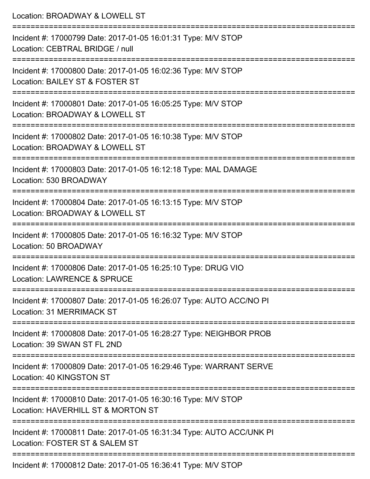| Location: BROADWAY & LOWELL ST                                                                                                            |
|-------------------------------------------------------------------------------------------------------------------------------------------|
| Incident #: 17000799 Date: 2017-01-05 16:01:31 Type: M/V STOP<br>Location: CEBTRAL BRIDGE / null                                          |
| :====================================<br>Incident #: 17000800 Date: 2017-01-05 16:02:36 Type: M/V STOP<br>Location: BAILEY ST & FOSTER ST |
| Incident #: 17000801 Date: 2017-01-05 16:05:25 Type: M/V STOP<br>Location: BROADWAY & LOWELL ST                                           |
| Incident #: 17000802 Date: 2017-01-05 16:10:38 Type: M/V STOP<br>Location: BROADWAY & LOWELL ST                                           |
| Incident #: 17000803 Date: 2017-01-05 16:12:18 Type: MAL DAMAGE<br>Location: 530 BROADWAY                                                 |
| Incident #: 17000804 Date: 2017-01-05 16:13:15 Type: M/V STOP<br>Location: BROADWAY & LOWELL ST                                           |
| Incident #: 17000805 Date: 2017-01-05 16:16:32 Type: M/V STOP<br>Location: 50 BROADWAY                                                    |
| =========================<br>Incident #: 17000806 Date: 2017-01-05 16:25:10 Type: DRUG VIO<br>Location: LAWRENCE & SPRUCE                 |
| Incident #: 17000807 Date: 2017-01-05 16:26:07 Type: AUTO ACC/NO PI<br>Location: 31 MERRIMACK ST                                          |
| Incident #: 17000808 Date: 2017-01-05 16:28:27 Type: NEIGHBOR PROB<br>Location: 39 SWAN ST FL 2ND                                         |
| Incident #: 17000809 Date: 2017-01-05 16:29:46 Type: WARRANT SERVE<br>Location: 40 KINGSTON ST                                            |
| Incident #: 17000810 Date: 2017-01-05 16:30:16 Type: M/V STOP<br>Location: HAVERHILL ST & MORTON ST                                       |
| Incident #: 17000811 Date: 2017-01-05 16:31:34 Type: AUTO ACC/UNK PI<br>Location: FOSTER ST & SALEM ST                                    |
| ------------------------------------<br>Incident #: 17000812 Date: 2017-01-05 16:36:41 Type: M/V STOP                                     |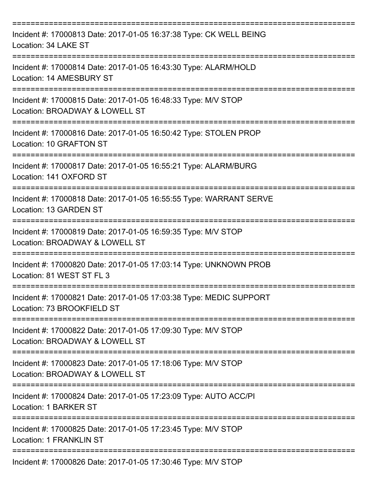| Incident #: 17000813 Date: 2017-01-05 16:37:38 Type: CK WELL BEING<br>Location: 34 LAKE ST       |
|--------------------------------------------------------------------------------------------------|
| Incident #: 17000814 Date: 2017-01-05 16:43:30 Type: ALARM/HOLD<br>Location: 14 AMESBURY ST      |
| Incident #: 17000815 Date: 2017-01-05 16:48:33 Type: M/V STOP<br>Location: BROADWAY & LOWELL ST  |
| Incident #: 17000816 Date: 2017-01-05 16:50:42 Type: STOLEN PROP<br>Location: 10 GRAFTON ST      |
| Incident #: 17000817 Date: 2017-01-05 16:55:21 Type: ALARM/BURG<br>Location: 141 OXFORD ST       |
| Incident #: 17000818 Date: 2017-01-05 16:55:55 Type: WARRANT SERVE<br>Location: 13 GARDEN ST     |
| Incident #: 17000819 Date: 2017-01-05 16:59:35 Type: M/V STOP<br>Location: BROADWAY & LOWELL ST  |
| Incident #: 17000820 Date: 2017-01-05 17:03:14 Type: UNKNOWN PROB<br>Location: 81 WEST ST FL 3   |
| Incident #: 17000821 Date: 2017-01-05 17:03:38 Type: MEDIC SUPPORT<br>Location: 73 BROOKFIELD ST |
| Incident #: 17000822 Date: 2017-01-05 17:09:30 Type: M/V STOP<br>Location: BROADWAY & LOWELL ST  |
| Incident #: 17000823 Date: 2017-01-05 17:18:06 Type: M/V STOP<br>Location: BROADWAY & LOWELL ST  |
| Incident #: 17000824 Date: 2017-01-05 17:23:09 Type: AUTO ACC/PI<br>Location: 1 BARKER ST        |
| Incident #: 17000825 Date: 2017-01-05 17:23:45 Type: M/V STOP<br><b>Location: 1 FRANKLIN ST</b>  |
| Incident #: 17000826 Date: 2017-01-05 17:30:46 Type: M/V STOP                                    |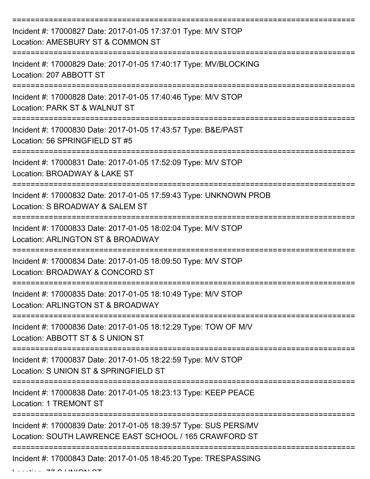| Incident #: 17000827 Date: 2017-01-05 17:37:01 Type: M/V STOP<br>Location: AMESBURY ST & COMMON ST                         |
|----------------------------------------------------------------------------------------------------------------------------|
| Incident #: 17000829 Date: 2017-01-05 17:40:17 Type: MV/BLOCKING<br>Location: 207 ABBOTT ST                                |
| Incident #: 17000828 Date: 2017-01-05 17:40:46 Type: M/V STOP<br>Location: PARK ST & WALNUT ST                             |
| Incident #: 17000830 Date: 2017-01-05 17:43:57 Type: B&E/PAST<br>Location: 56 SPRINGFIELD ST #5                            |
| Incident #: 17000831 Date: 2017-01-05 17:52:09 Type: M/V STOP<br>Location: BROADWAY & LAKE ST                              |
| Incident #: 17000832 Date: 2017-01-05 17:59:43 Type: UNKNOWN PROB<br>Location: S BROADWAY & SALEM ST                       |
| Incident #: 17000833 Date: 2017-01-05 18:02:04 Type: M/V STOP<br>Location: ARLINGTON ST & BROADWAY                         |
| Incident #: 17000834 Date: 2017-01-05 18:09:50 Type: M/V STOP<br>Location: BROADWAY & CONCORD ST                           |
| Incident #: 17000835 Date: 2017-01-05 18:10:49 Type: M/V STOP<br>Location: ARLINGTON ST & BROADWAY                         |
| Incident #: 17000836 Date: 2017-01-05 18:12:29 Type: TOW OF M/V<br>Location: ABBOTT ST & S UNION ST                        |
| Incident #: 17000837 Date: 2017-01-05 18:22:59 Type: M/V STOP<br>Location: S UNION ST & SPRINGFIELD ST                     |
| Incident #: 17000838 Date: 2017-01-05 18:23:13 Type: KEEP PEACE<br><b>Location: 1 TREMONT ST</b>                           |
| Incident #: 17000839 Date: 2017-01-05 18:39:57 Type: SUS PERS/MV<br>Location: SOUTH LAWRENCE EAST SCHOOL / 165 CRAWFORD ST |
| Incident #: 17000843 Date: 2017-01-05 18:45:20 Type: TRESPASSING<br>דמ וממונות מי <del>דד</del> בעיר ביו                   |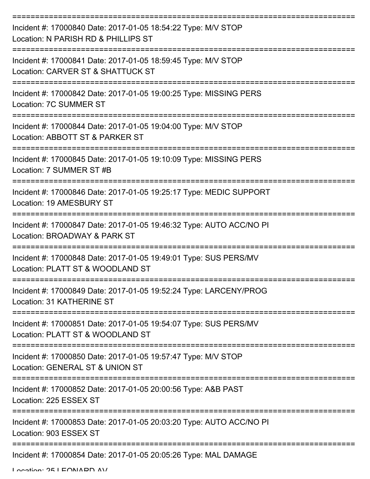| Incident #: 17000840 Date: 2017-01-05 18:54:22 Type: M/V STOP<br>Location: N PARISH RD & PHILLIPS ST |
|------------------------------------------------------------------------------------------------------|
| Incident #: 17000841 Date: 2017-01-05 18:59:45 Type: M/V STOP<br>Location: CARVER ST & SHATTUCK ST   |
| Incident #: 17000842 Date: 2017-01-05 19:00:25 Type: MISSING PERS<br>Location: 7C SUMMER ST          |
| Incident #: 17000844 Date: 2017-01-05 19:04:00 Type: M/V STOP<br>Location: ABBOTT ST & PARKER ST     |
| Incident #: 17000845 Date: 2017-01-05 19:10:09 Type: MISSING PERS<br>Location: 7 SUMMER ST #B        |
| Incident #: 17000846 Date: 2017-01-05 19:25:17 Type: MEDIC SUPPORT<br>Location: 19 AMESBURY ST       |
| Incident #: 17000847 Date: 2017-01-05 19:46:32 Type: AUTO ACC/NO PI<br>Location: BROADWAY & PARK ST  |
| Incident #: 17000848 Date: 2017-01-05 19:49:01 Type: SUS PERS/MV<br>Location: PLATT ST & WOODLAND ST |
| Incident #: 17000849 Date: 2017-01-05 19:52:24 Type: LARCENY/PROG<br>Location: 31 KATHERINE ST       |
| Incident #: 17000851 Date: 2017-01-05 19:54:07 Type: SUS PERS/MV<br>Location: PLATT ST & WOODLAND ST |
| Incident #: 17000850 Date: 2017-01-05 19:57:47 Type: M/V STOP<br>Location: GENERAL ST & UNION ST     |
| Incident #: 17000852 Date: 2017-01-05 20:00:56 Type: A&B PAST<br>Location: 225 ESSEX ST              |
| Incident #: 17000853 Date: 2017-01-05 20:03:20 Type: AUTO ACC/NO PI<br>Location: 903 ESSEX ST        |
| Incident #: 17000854 Date: 2017-01-05 20:05:26 Type: MAL DAMAGE                                      |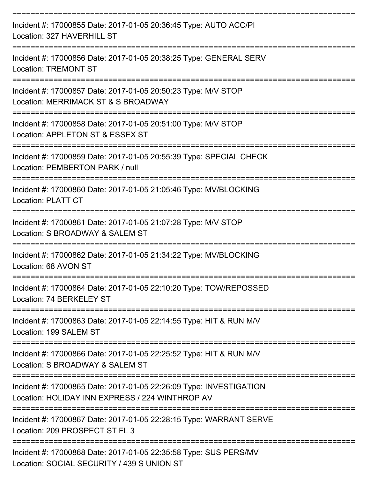| Incident #: 17000855 Date: 2017-01-05 20:36:45 Type: AUTO ACC/PI<br>Location: 327 HAVERHILL ST                                  |
|---------------------------------------------------------------------------------------------------------------------------------|
| Incident #: 17000856 Date: 2017-01-05 20:38:25 Type: GENERAL SERV<br>Location: TREMONT ST<br>----------------                   |
| Incident #: 17000857 Date: 2017-01-05 20:50:23 Type: M/V STOP<br>Location: MERRIMACK ST & S BROADWAY                            |
| Incident #: 17000858 Date: 2017-01-05 20:51:00 Type: M/V STOP<br>Location: APPLETON ST & ESSEX ST                               |
| Incident #: 17000859 Date: 2017-01-05 20:55:39 Type: SPECIAL CHECK<br>Location: PEMBERTON PARK / null                           |
| Incident #: 17000860 Date: 2017-01-05 21:05:46 Type: MV/BLOCKING<br><b>Location: PLATT CT</b><br>============================== |
| Incident #: 17000861 Date: 2017-01-05 21:07:28 Type: M/V STOP<br>Location: S BROADWAY & SALEM ST                                |
| Incident #: 17000862 Date: 2017-01-05 21:34:22 Type: MV/BLOCKING<br>Location: 68 AVON ST                                        |
| Incident #: 17000864 Date: 2017-01-05 22:10:20 Type: TOW/REPOSSED<br>Location: 74 BERKELEY ST                                   |
| Incident #: 17000863 Date: 2017-01-05 22:14:55 Type: HIT & RUN M/V<br>Location: 199 SALEM ST                                    |
| Incident #: 17000866 Date: 2017-01-05 22:25:52 Type: HIT & RUN M/V<br>Location: S BROADWAY & SALEM ST                           |
| Incident #: 17000865 Date: 2017-01-05 22:26:09 Type: INVESTIGATION<br>Location: HOLIDAY INN EXPRESS / 224 WINTHROP AV           |
| Incident #: 17000867 Date: 2017-01-05 22:28:15 Type: WARRANT SERVE<br>Location: 209 PROSPECT ST FL 3                            |
| Incident #: 17000868 Date: 2017-01-05 22:35:58 Type: SUS PERS/MV                                                                |

Location: SOCIAL SECURITY / 439 S UNION ST